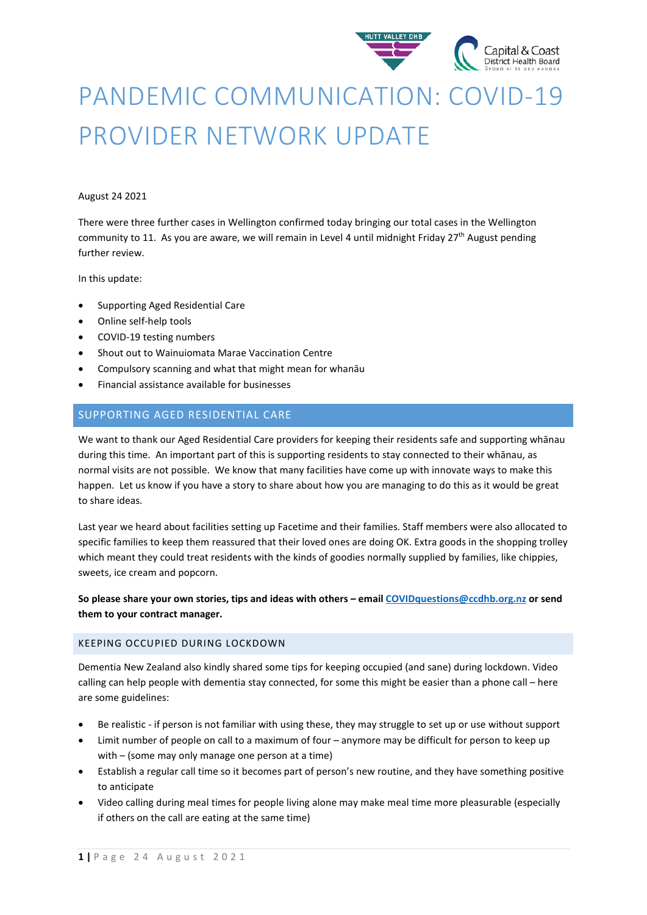

# PANDEMIC COMMUNICATION: COVID-19 PROVIDER NETWORK UPDATE

#### August 24 2021

There were three further cases in Wellington confirmed today bringing our total cases in the Wellington community to 11. As you are aware, we will remain in Level 4 until midnight Friday  $27<sup>th</sup>$  August pending further review.

In this update:

- Supporting Aged Residential Care
- Online self-help tools
- COVID-19 testing numbers
- Shout out to Wainuiomata Marae Vaccination Centre
- Compulsory scanning and what that might mean for whanāu
- Financial assistance available for businesses

# SUPPORTING AGED RESIDENTIAL CARE

We want to thank our Aged Residential Care providers for keeping their residents safe and supporting whānau during this time. An important part of this is supporting residents to stay connected to their whānau, as normal visits are not possible. We know that many facilities have come up with innovate ways to make this happen. Let us know if you have a story to share about how you are managing to do this as it would be great to share ideas.

Last year we heard about facilities setting up Facetime and their families. Staff members were also allocated to specific families to keep them reassured that their loved ones are doing OK. Extra goods in the shopping trolley which meant they could treat residents with the kinds of goodies normally supplied by families, like chippies, sweets, ice cream and popcorn.

**So please share your own stories, tips and ideas with others – email [COVIDquestions@ccdhb.org.nz](mailto:COVIDquestions@ccdhb.org.nz) or send them to your contract manager.**

#### KEEPING OCCUPIED DURING LOCKDOWN

Dementia New Zealand also kindly shared some tips for keeping occupied (and sane) during lockdown. Video calling can help people with dementia stay connected, for some this might be easier than a phone call – here are some guidelines:

- Be realistic if person is not familiar with using these, they may struggle to set up or use without support
- Limit number of people on call to a maximum of four anymore may be difficult for person to keep up with – (some may only manage one person at a time)
- Establish a regular call time so it becomes part of person's new routine, and they have something positive to anticipate
- Video calling during meal times for people living alone may make meal time more pleasurable (especially if others on the call are eating at the same time)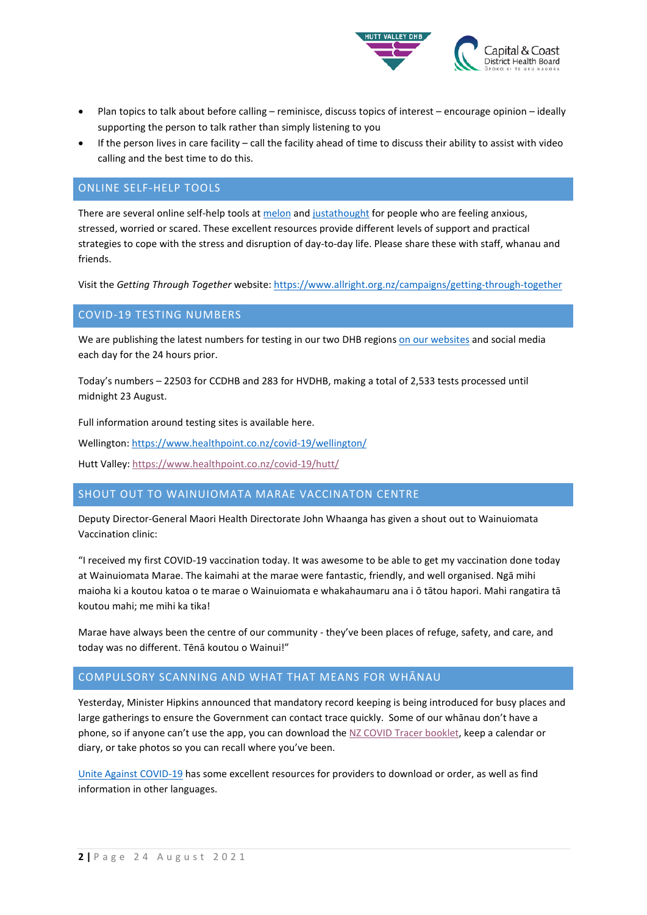

- Plan topics to talk about before calling reminisce, discuss topics of interest encourage opinion ideally supporting the person to talk rather than simply listening to you
- If the person lives in care facility call the facility ahead of time to discuss their ability to assist with video calling and the best time to do this.

# ONLINE SELF-HELP TOOLS

There are several online self-help tools at [melon](https://www.melonhealth.com/mental-wellbeing/) and justathought for people who are feeling anxious, stressed, worried or scared. These excellent resources provide different levels of support and practical strategies to cope with the stress and disruption of day-to-day life. Please share these with staff, whanau and friends.

Visit the *Getting Through Together* website:<https://www.allright.org.nz/campaigns/getting-through-together>

## COVID-19 TESTING NUMBERS

We are publishing the latest numbers for testing in our two DHB region[s on our websites](https://www.ccdhb.org.nz/our-services/covid-19-community-based-assessment-centres-cbacs/covid-19-testing-numbers/) and social media each day for the 24 hours prior.

Today's numbers – 22503 for CCDHB and 283 for HVDHB, making a total of 2,533 tests processed until midnight 23 August.

Full information around testing sites is available here.

Wellington[: https://www.healthpoint.co.nz/covid-19/wellington/](https://www.healthpoint.co.nz/covid-19/wellington/)

Hutt Valley:<https://www.healthpoint.co.nz/covid-19/hutt/>

### SHOUT OUT TO WAINUIOMATA MARAE VACCINATON CENTRE

Deputy Director-General Maori Health Directorate John Whaanga has given a shout out to Wainuiomata Vaccination clinic:

"I received my first COVID-19 vaccination today. It was awesome to be able to get my vaccination done today at Wainuiomata Marae. The kaimahi at the marae were fantastic, friendly, and well organised. Ngā mihi maioha ki a koutou katoa o te marae o Wainuiomata e whakahaumaru ana i ō tātou hapori. Mahi rangatira tā koutou mahi; me mihi ka tika!

Marae have always been the centre of our community - they've been places of refuge, safety, and care, and today was no different. Tēnā koutou o Wainui!"

#### COMPULSORY SCANNING AND WHAT THAT MEANS FOR WHĀNAU

Yesterday, Minister Hipkins announced that mandatory record keeping is being introduced for busy places and large gatherings to ensure the Government can contact trace quickly. Some of our whānau don't have a phone, so if anyone can't use the app, you can download th[e NZ COVID Tracer booklet,](https://urldefense.com/v3/__https:/covid19.govt.nz/health-and-wellbeing/contact-tracing/nz-covid-tracer-booklet/__;!!A3teau8g8Q!F6gE_9BnaCfB1NbUlvDBZaMPt7Vm1h8quFI7Gziz1aT4x_kXlzZmeGQZ3NZ2794E9aDQ$) keep a calendar or diary, or take photos so you can recall where you've been.

[Unite Against COVID-19](https://covid19.govt.nz/health-and-wellbeing/contact-tracing/nz-covid-tracer-booklet/#order-free-printed-collateral-for-your-business,-community-organisation-or-event) has some excellent resources for providers to download or order, as well as find information in other languages.